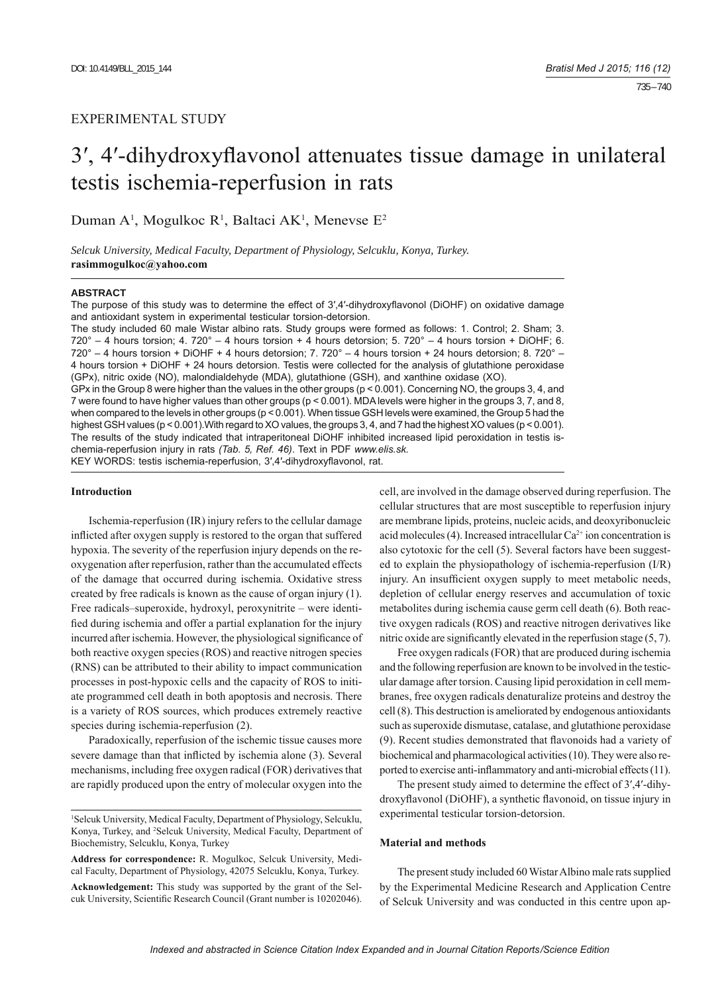# EXPERIMENTAL STUDY

# 3', 4'-dihydroxyflavonol attenuates tissue damage in unilateral testis ischemia-reperfusion in rats

Duman A<sup>1</sup>, Mogulkoc R<sup>1</sup>, Baltaci AK<sup>1</sup>, Menevse E<sup>2</sup>

*Selcuk University, Medical Faculty, Department of Physiology, Selcuklu, Konya, Turkey.*  **rasimmogulkoc@yahoo.com**

#### **ABSTRACT**

The purpose of this study was to determine the effect of 3',4'-dihydroxyflavonol (DiOHF) on oxidative damage and antioxidant system in experimental testicular torsion-detorsion.

The study included 60 male Wistar albino rats. Study groups were formed as follows: 1. Control; 2. Sham; 3.  $720^{\circ}$  – 4 hours torsion; 4.  $720^{\circ}$  – 4 hours torsion + 4 hours detorsion; 5.  $720^{\circ}$  – 4 hours torsion + DiOHF; 6. 720° – 4 hours torsion + DiOHF + 4 hours detorsion; 7. 720° – 4 hours torsion + 24 hours detorsion; 8. 720° – 4 hours torsion + DiOHF + 24 hours detorsion. Testis were collected for the analysis of glutathione peroxidase (GPx), nitric oxide (NO), malondialdehyde (MDA), glutathione (GSH), and xanthine oxidase (XO). GPx in the Group 8 were higher than the values in the other groups (p < 0.001). Concerning NO, the groups 3, 4, and 7 were found to have higher values than other groups (p < 0.001). MDA levels were higher in the groups 3, 7, and 8, when compared to the levels in other groups (p < 0.001). When tissue GSH levels were examined, the Group 5 had the highest GSH values (p < 0.001).With regard to XO values, the groups 3, 4, and 7 had the highest XO values (p < 0.001). The results of the study indicated that intraperitoneal DiOHF inhibited increased lipid peroxidation in testis ischemia-reperfusion injury in rats *(Tab. 5, Ref. 46)*. Text in PDF *www.elis.sk.*

KEY WORDS: testis ischemia-reperfusion, 3',4'-dihydroxyflavonol, rat.

#### **Introduction**

Ischemia-reperfusion (IR) injury refers to the cellular damage inflicted after oxygen supply is restored to the organ that suffered hypoxia. The severity of the reperfusion injury depends on the reoxygenation after reperfusion, rather than the accumulated effects of the damage that occurred during ischemia. Oxidative stress created by free radicals is known as the cause of organ injury (1). Free radicals–superoxide, hydroxyl, peroxynitrite – were identified during ischemia and offer a partial explanation for the injury incurred after ischemia. However, the physiological significance of both reactive oxygen species (ROS) and reactive nitrogen species (RNS) can be attributed to their ability to impact communication processes in post-hypoxic cells and the capacity of ROS to initiate programmed cell death in both apoptosis and necrosis. There is a variety of ROS sources, which produces extremely reactive species during ischemia-reperfusion (2).

Paradoxically, reperfusion of the ischemic tissue causes more severe damage than that inflicted by ischemia alone (3). Several mechanisms, including free oxygen radical (FOR) derivatives that are rapidly produced upon the entry of molecular oxygen into the

**Address for correspondence:** R. Mogulkoc, Selcuk University, Medical Faculty, Department of Physiology, 42075 Selcuklu, Konya, Turkey. **Acknowledgement:** This study was supported by the grant of the Selcuk University, Scientific Research Council (Grant number is 10202046).

cell, are involved in the damage observed during reperfusion. The cellular structures that are most susceptible to reperfusion injury are membrane lipids, proteins, nucleic acids, and deoxyribonucleic acid molecules (4). Increased intracellular  $Ca^{2+}$  ion concentration is also cytotoxic for the cell (5). Several factors have been suggested to explain the physiopathology of ischemia-reperfusion (I/R) injury. An insufficient oxygen supply to meet metabolic needs, depletion of cellular energy reserves and accumulation of toxic metabolites during ischemia cause germ cell death (6). Both reactive oxygen radicals (ROS) and reactive nitrogen derivatives like nitric oxide are significantly elevated in the reperfusion stage  $(5, 7)$ .

Free oxygen radicals (FOR) that are produced during ischemia and the following reperfusion are known to be involved in the testicular damage after torsion. Causing lipid peroxidation in cell membranes, free oxygen radicals denaturalize proteins and destroy the cell (8). This destruction is ameliorated by endogenous antioxidants such as superoxide dismutase, catalase, and glutathione peroxidase (9). Recent studies demonstrated that flavonoids had a variety of biochemical and pharmacological activities (10). They were also reported to exercise anti-inflammatory and anti-microbial effects (11).

The present study aimed to determine the effect of 3′,4′-dihydroxyflavonol (DiOHF), a synthetic flavonoid, on tissue injury in experimental testicular torsion-detorsion.

#### **Material and methods**

The present study included 60 Wistar Albino male rats supplied by the Experimental Medicine Research and Application Centre of Selcuk University and was conducted in this centre upon ap-

<sup>1</sup> Selcuk University, Medical Faculty, Department of Physiology, Selcuklu, Konya, Turkey, and <sup>2</sup>Selcuk University, Medical Faculty, Department of Biochemistry, Selcuklu, Konya, Turkey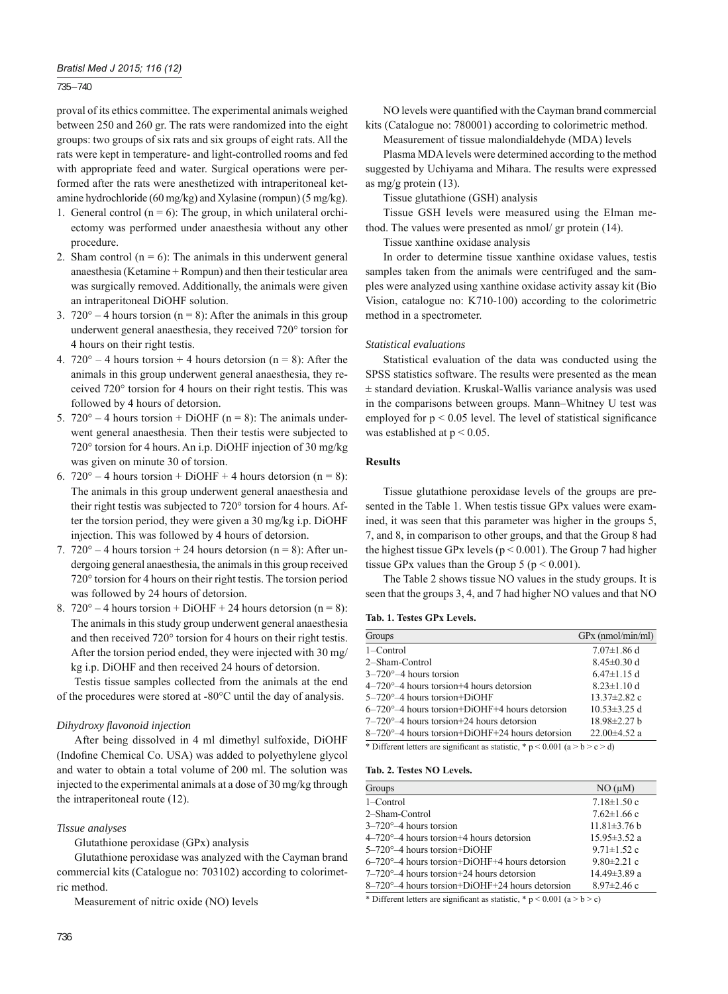735 – 740

proval of its ethics committee. The experimental animals weighed between 250 and 260 gr. The rats were randomized into the eight groups: two groups of six rats and six groups of eight rats. All the rats were kept in temperature- and light-controlled rooms and fed with appropriate feed and water. Surgical operations were performed after the rats were anesthetized with intraperitoneal ketamine hydrochloride (60 mg/kg) and Xylasine (rompun) (5 mg/kg).

- 1. General control  $(n = 6)$ : The group, in which unilateral orchiectomy was performed under anaesthesia without any other procedure.
- 2. Sham control  $(n = 6)$ : The animals in this underwent general anaesthesia (Ketamine + Rompun) and then their testicular area was surgically removed. Additionally, the animals were given an intraperitoneal DiOHF solution.
- 3.  $720^\circ 4$  hours torsion (n = 8): After the animals in this group underwent general anaesthesia, they received 720° torsion for 4 hours on their right testis.
- 4.  $720^{\circ} 4$  hours torsion + 4 hours detorsion (n = 8): After the animals in this group underwent general anaesthesia, they received 720° torsion for 4 hours on their right testis. This was followed by 4 hours of detorsion.
- 5.  $720^{\circ} 4$  hours torsion + DiOHF (n = 8): The animals underwent general anaesthesia. Then their testis were subjected to 720° torsion for 4 hours. An i.p. DiOHF injection of 30 mg/kg was given on minute 30 of torsion.
- 6.  $720^{\circ} 4$  hours torsion + DiOHF + 4 hours detorsion (n = 8): The animals in this group underwent general anaesthesia and their right testis was subjected to 720° torsion for 4 hours. After the torsion period, they were given a 30 mg/kg i.p. DiOHF injection. This was followed by 4 hours of detorsion.
- 7.  $720^\circ 4$  hours torsion + 24 hours detorsion (n = 8): After undergoing general anaesthesia, the animals in this group received 720° torsion for 4 hours on their right testis. The torsion period was followed by 24 hours of detorsion.
- 8.  $720^{\circ} 4$  hours torsion + DiOHF + 24 hours detorsion (n = 8): The animals in this study group underwent general anaesthesia and then received 720° torsion for 4 hours on their right testis. After the torsion period ended, they were injected with 30 mg/ kg i.p. DiOHF and then received 24 hours of detorsion.

Testis tissue samples collected from the animals at the end of the procedures were stored at -80°C until the day of analysis.

# *Dihydroxy fl avonoid injection*

After being dissolved in 4 ml dimethyl sulfoxide, DiOHF (Indofine Chemical Co. USA) was added to polyethylene glycol and water to obtain a total volume of 200 ml. The solution was injected to the experimental animals at a dose of 30 mg/kg through the intraperitoneal route (12).

# *Tissue analyses*

Glutathione peroxidase (GPx) analysis

Glutathione peroxidase was analyzed with the Cayman brand commercial kits (Catalogue no: 703102) according to colorimetric method.

Measurement of nitric oxide (NO) levels

NO levels were quantified with the Cayman brand commercial kits (Catalogue no: 780001) according to colorimetric method.

Measurement of tissue malondialdehyde (MDA) levels

Plasma MDA levels were determined according to the method suggested by Uchiyama and Mihara. The results were expressed as mg/g protein (13).

Tissue glutathione (GSH) analysis

Tissue GSH levels were measured using the Elman method. The values were presented as nmol/ gr protein (14).

Tissue xanthine oxidase analysis

In order to determine tissue xanthine oxidase values, testis samples taken from the animals were centrifuged and the samples were analyzed using xanthine oxidase activity assay kit (Bio Vision, catalogue no: K710-100) according to the colorimetric method in a spectrometer.

## *Statistical evaluations*

Statistical evaluation of the data was conducted using the SPSS statistics software. The results were presented as the mean ± standard deviation. Kruskal-Wallis variance analysis was used in the comparisons between groups. Mann–Whitney U test was employed for  $p \le 0.05$  level. The level of statistical significance was established at  $p < 0.05$ .

# **Results**

Tissue glutathione peroxidase levels of the groups are presented in the Table 1. When testis tissue GPx values were examined, it was seen that this parameter was higher in the groups 5, 7, and 8, in comparison to other groups, and that the Group 8 had the highest tissue GPx levels (p < 0.001). The Group 7 had higher tissue GPx values than the Group 5 ( $p < 0.001$ ).

The Table 2 shows tissue NO values in the study groups. It is seen that the groups 3, 4, and 7 had higher NO values and that NO

## **Tab. 1. Testes GPx Levels.**

| $7.07 \pm 1.86$ d  |
|--------------------|
| $8.45 \pm 0.30$ d  |
| $6.47\pm1.15$ d    |
| $8.23 \pm 1.10$ d  |
| $13.37 \pm 2.82$ c |
| $10.53\pm3.25$ d   |
| 18.98±2.27 b       |
| $22.00\pm4.52$ a   |
|                    |

\* Different letters are significant as statistic, \* p < 0.001 (a > b > c > d)

## **Tab. 2. Testes NO Levels.**

| Groups                                                   | NO (uM)            |
|----------------------------------------------------------|--------------------|
| 1-Control                                                | $7.18 \pm 1.50$ c  |
| 2-Sham-Control                                           | $7.62 \pm 1.66$ c  |
| $3-720^{\circ}-4$ hours torsion                          | $11.81\pm3.76$ b   |
| $4-720^{\circ}-4$ hours torsion +4 hours detorsion       | $15.95 \pm 3.52$ a |
| $5-720^{\circ}-4$ hours torsion+DiOHF                    | $9.71 \pm 1.52$ c  |
| $6-720^{\circ}-4$ hours torsion+DiOHF+4 hours detorsion  | $9.80 \pm 2.21$ c  |
| $7-720^{\circ}-4$ hours torsion +24 hours detorsion      | 14.49±3.89 a       |
| $8-720^{\circ}-4$ hours torsion+DiOHF+24 hours detorsion | $8.97 \pm 2.46$ c  |

\* Different letters are significant as statistic, \*  $p < 0.001$  (a > b > c)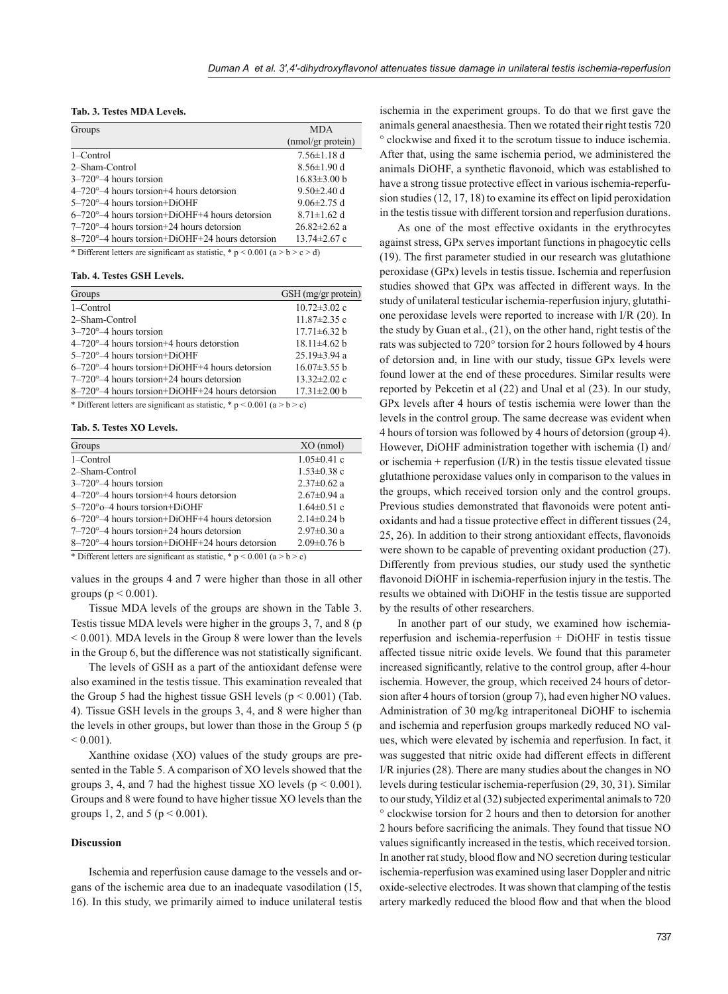## **Tab. 3. Testes MDA Levels.**

| Groups                                                                                    | <b>MDA</b>               |
|-------------------------------------------------------------------------------------------|--------------------------|
|                                                                                           | (nmol/gr protein)        |
| 1–Control                                                                                 | $7.56 \pm 1.18$ d        |
| 2-Sham-Control                                                                            | $8.56 \pm 1.90$ d        |
| $3-720^{\circ}-4$ hours torsion                                                           | $16.83\pm3.00 \text{ h}$ |
| $4-720^{\circ}-4$ hours torsion +4 hours detorsion                                        | $9.50 \pm 2.40$ d        |
| $5-720^{\circ}-4$ hours torsion+DiOHF                                                     | $9.06\pm2.75$ d          |
| $6-720^{\circ}-4$ hours torsion+DiOHF+4 hours detorsion                                   | $8.71 \pm 1.62$ d        |
| $7-720^{\circ}-4$ hours torsion +24 hours detorsion                                       | $26.82 \pm 2.62$ a       |
| $8-720^{\circ}-4$ hours torsion+DiOHF+24 hours detorsion                                  | $13.74 \pm 2.67$ c       |
| $\cdots$<br>$\cdots$ $\cdots$ $\cdots$ $\cdots$ $\cdots$ $\cdots$<br>$\sim$ $\sim$ $\sim$ |                          |

\* Different letters are significant as statistic, \*  $p \le 0.001$  (a  $> b > c > d$ )

#### **Tab. 4. Testes GSH Levels.**

| Groups                                                                              | GSH (mg/gr protein) |
|-------------------------------------------------------------------------------------|---------------------|
| 1-Control                                                                           | $10.72 \pm 3.02$ c  |
| 2-Sham-Control                                                                      | $11.87 \pm 2.35$ c  |
| $3-720^{\circ}-4$ hours torsion                                                     | $17.71 \pm 6.32 b$  |
| $4-720^{\circ}-4$ hours torsion +4 hours detorstion                                 | $18.11\pm4.62$ b    |
| $5-720^{\circ}-4$ hours torsion+DiOHF                                               | $25.19\pm3.94$ a    |
| $6-720^{\circ}-4$ hours torsion+DiOHF+4 hours detorsion                             | $16.07\pm3.55$ b    |
| $7-720^{\circ}-4$ hours torsion +24 hours detorsion                                 | $13.32 \pm 2.02$ c  |
| $8-720^{\circ}-4$ hours torsion+DiOHF+24 hours detorsion                            | $17.31 \pm 2.00 b$  |
| * Different letters can clearly contract contribution * a $> 0.001$ (c.s. 1, s. c.) |                     |

Different letters are significant as statistic,  $* p < 0.001$  (a  $> b > c$ )

## **Tab. 5. Testes XO Levels.**

| Groups                                                   | $XO$ (nmol)       |
|----------------------------------------------------------|-------------------|
| $1 -$ Control                                            | $1.05 \pm 0.41$ c |
| 2-Sham-Control                                           | $1.53 \pm 0.38$ c |
| $3-720^{\circ}-4$ hours torsion                          | $2.37 \pm 0.62$ a |
| $4-720^{\circ}-4$ hours torsion +4 hours detorsion       | $2.67 \pm 0.94$ a |
| $5-720^{\circ}$ o $-4$ hours torsion + DiOHF             | $1.64 \pm 0.51$ c |
| $6-720^{\circ}-4$ hours torsion+DiOHF+4 hours detorsion  | $2.14\pm0.24$ b   |
| $7-720^{\circ}-4$ hours torsion +24 hours detorsion      | $2.97\pm0.30$ a   |
| $8-720^{\circ}-4$ hours torsion+DiOHF+24 hours detorsion | $2.09\pm0.76$ b   |

\* Different letters are significant as statistic, \* p < 0.001 (a > b > c)

values in the groups 4 and 7 were higher than those in all other groups ( $p \leq 0.001$ ).

Tissue MDA levels of the groups are shown in the Table 3. Testis tissue MDA levels were higher in the groups 3, 7, and 8 (p  $< 0.001$ ). MDA levels in the Group 8 were lower than the levels in the Group 6, but the difference was not statistically significant.

The levels of GSH as a part of the antioxidant defense were also examined in the testis tissue. This examination revealed that the Group 5 had the highest tissue GSH levels ( $p < 0.001$ ) (Tab. 4). Tissue GSH levels in the groups 3, 4, and 8 were higher than the levels in other groups, but lower than those in the Group 5 (p  $< 0.001$ ).

Xanthine oxidase (XO) values of the study groups are presented in the Table 5. A comparison of XO levels showed that the groups 3, 4, and 7 had the highest tissue XO levels ( $p \le 0.001$ ). Groups and 8 were found to have higher tissue XO levels than the groups 1, 2, and 5 ( $p < 0.001$ ).

#### **Discussion**

Ischemia and reperfusion cause damage to the vessels and organs of the ischemic area due to an inadequate vasodilation (15, 16). In this study, we primarily aimed to induce unilateral testis

ischemia in the experiment groups. To do that we first gave the animals general anaesthesia. Then we rotated their right testis 720  $\degree$  clockwise and fixed it to the scrotum tissue to induce ischemia. After that, using the same ischemia period, we administered the animals DiOHF, a synthetic flavonoid, which was established to have a strong tissue protective effect in various ischemia-reperfusion studies (12, 17, 18) to examine its effect on lipid peroxidation in the testis tissue with different torsion and reperfusion durations.

As one of the most effective oxidants in the erythrocytes against stress, GPx serves important functions in phagocytic cells  $(19)$ . The first parameter studied in our research was glutathione peroxidase (GPx) levels in testis tissue. Ischemia and reperfusion studies showed that GPx was affected in different ways. In the study of unilateral testicular ischemia-reperfusion injury, glutathione peroxidase levels were reported to increase with I/R (20). In the study by Guan et al., (21), on the other hand, right testis of the rats was subjected to 720° torsion for 2 hours followed by 4 hours of detorsion and, in line with our study, tissue GPx levels were found lower at the end of these procedures. Similar results were reported by Pekcetin et al (22) and Unal et al (23). In our study, GPx levels after 4 hours of testis ischemia were lower than the levels in the control group. The same decrease was evident when 4 hours of torsion was followed by 4 hours of detorsion (group 4). However, DiOHF administration together with ischemia (I) and/ or ischemia + reperfusion  $(I/R)$  in the testis tissue elevated tissue glutathione peroxidase values only in comparison to the values in the groups, which received torsion only and the control groups. Previous studies demonstrated that flavonoids were potent antioxidants and had a tissue protective effect in different tissues (24, 25, 26). In addition to their strong antioxidant effects, flavonoids were shown to be capable of preventing oxidant production (27). Differently from previous studies, our study used the synthetic flavonoid DiOHF in ischemia-reperfusion injury in the testis. The results we obtained with DiOHF in the testis tissue are supported by the results of other researchers.

In another part of our study, we examined how ischemiareperfusion and ischemia-reperfusion + DiOHF in testis tissue affected tissue nitric oxide levels. We found that this parameter increased significantly, relative to the control group, after 4-hour ischemia. However, the group, which received 24 hours of detorsion after 4 hours of torsion (group 7), had even higher NO values. Administration of 30 mg/kg intraperitoneal DiOHF to ischemia and ischemia and reperfusion groups markedly reduced NO values, which were elevated by ischemia and reperfusion. In fact, it was suggested that nitric oxide had different effects in different I/R injuries (28). There are many studies about the changes in NO levels during testicular ischemia-reperfusion (29, 30, 31). Similar to our study, Yildiz et al (32) subjected experimental animals to 720 ° clockwise torsion for 2 hours and then to detorsion for another 2 hours before sacrificing the animals. They found that tissue NO values significantly increased in the testis, which received torsion. In another rat study, blood flow and NO secretion during testicular ischemia-reperfusion was examined using laser Doppler and nitric oxide-selective electrodes. It was shown that clamping of the testis artery markedly reduced the blood flow and that when the blood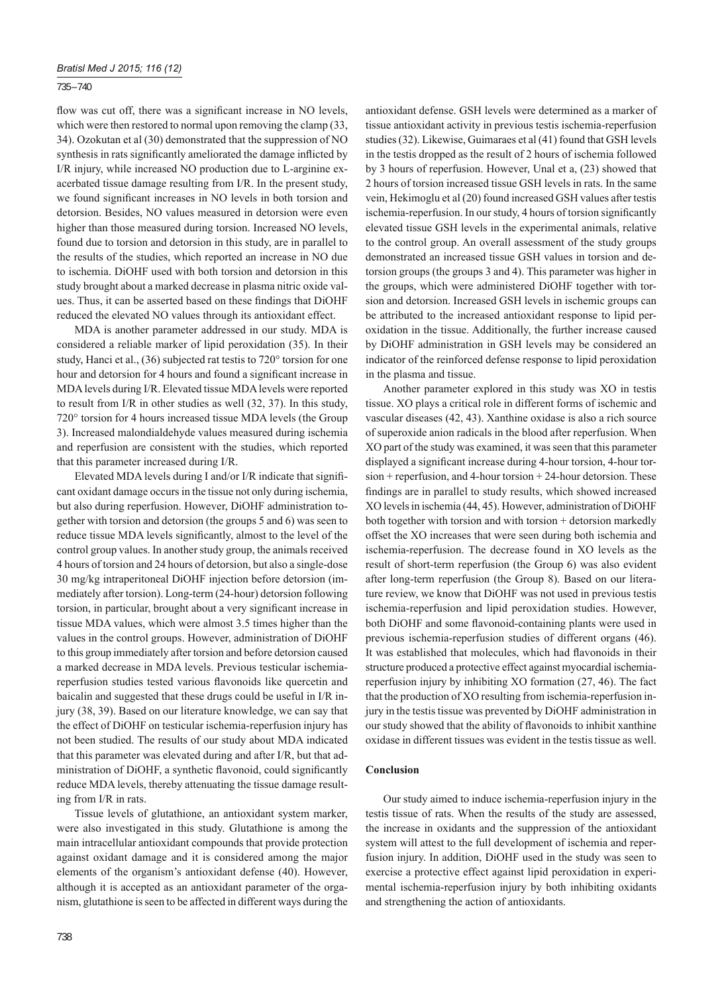## 735 – 740

flow was cut off, there was a significant increase in NO levels, which were then restored to normal upon removing the clamp (33, 34). Ozokutan et al (30) demonstrated that the suppression of NO synthesis in rats significantly ameliorated the damage inflicted by I/R injury, while increased NO production due to L-arginine exacerbated tissue damage resulting from I/R. In the present study, we found significant increases in NO levels in both torsion and detorsion. Besides, NO values measured in detorsion were even higher than those measured during torsion. Increased NO levels, found due to torsion and detorsion in this study, are in parallel to the results of the studies, which reported an increase in NO due to ischemia. DiOHF used with both torsion and detorsion in this study brought about a marked decrease in plasma nitric oxide values. Thus, it can be asserted based on these findings that DiOHF reduced the elevated NO values through its antioxidant effect.

MDA is another parameter addressed in our study. MDA is considered a reliable marker of lipid peroxidation (35). In their study, Hanci et al., (36) subjected rat testis to 720° torsion for one hour and detorsion for 4 hours and found a significant increase in MDA levels during I/R. Elevated tissue MDA levels were reported to result from I/R in other studies as well (32, 37). In this study, 720° torsion for 4 hours increased tissue MDA levels (the Group 3). Increased malondialdehyde values measured during ischemia and reperfusion are consistent with the studies, which reported that this parameter increased during I/R.

Elevated MDA levels during I and/or I/R indicate that significant oxidant damage occurs in the tissue not only during ischemia, but also during reperfusion. However, DiOHF administration together with torsion and detorsion (the groups 5 and 6) was seen to reduce tissue MDA levels significantly, almost to the level of the control group values. In another study group, the animals received 4 hours of torsion and 24 hours of detorsion, but also a single-dose 30 mg/kg intraperitoneal DiOHF injection before detorsion (immediately after torsion). Long-term (24-hour) detorsion following torsion, in particular, brought about a very significant increase in tissue MDA values, which were almost 3.5 times higher than the values in the control groups. However, administration of DiOHF to this group immediately after torsion and before detorsion caused a marked decrease in MDA levels. Previous testicular ischemiareperfusion studies tested various flavonoids like quercetin and baicalin and suggested that these drugs could be useful in I/R injury (38, 39). Based on our literature knowledge, we can say that the effect of DiOHF on testicular ischemia-reperfusion injury has not been studied. The results of our study about MDA indicated that this parameter was elevated during and after I/R, but that administration of DiOHF, a synthetic flavonoid, could significantly reduce MDA levels, thereby attenuating the tissue damage resulting from I/R in rats.

Tissue levels of glutathione, an antioxidant system marker, were also investigated in this study. Glutathione is among the main intracellular antioxidant compounds that provide protection against oxidant damage and it is considered among the major elements of the organism's antioxidant defense (40). However, although it is accepted as an antioxidant parameter of the organism, glutathione is seen to be affected in different ways during the

antioxidant defense. GSH levels were determined as a marker of tissue antioxidant activity in previous testis ischemia-reperfusion studies (32). Likewise, Guimaraes et al (41) found that GSH levels in the testis dropped as the result of 2 hours of ischemia followed by 3 hours of reperfusion. However, Unal et a, (23) showed that 2 hours of torsion increased tissue GSH levels in rats. In the same vein, Hekimoglu et al (20) found increased GSH values after testis ischemia-reperfusion. In our study, 4 hours of torsion significantly elevated tissue GSH levels in the experimental animals, relative to the control group. An overall assessment of the study groups demonstrated an increased tissue GSH values in torsion and detorsion groups (the groups 3 and 4). This parameter was higher in the groups, which were administered DiOHF together with torsion and detorsion. Increased GSH levels in ischemic groups can be attributed to the increased antioxidant response to lipid peroxidation in the tissue. Additionally, the further increase caused by DiOHF administration in GSH levels may be considered an indicator of the reinforced defense response to lipid peroxidation in the plasma and tissue.

Another parameter explored in this study was XO in testis tissue. XO plays a critical role in different forms of ischemic and vascular diseases (42, 43). Xanthine oxidase is also a rich source of superoxide anion radicals in the blood after reperfusion. When XO part of the study was examined, it was seen that this parameter displayed a significant increase during 4-hour torsion, 4-hour torsion + reperfusion, and 4-hour torsion + 24-hour detorsion. These findings are in parallel to study results, which showed increased XO levels in ischemia (44, 45). However, administration of DiOHF both together with torsion and with torsion + detorsion markedly offset the XO increases that were seen during both ischemia and ischemia-reperfusion. The decrease found in XO levels as the result of short-term reperfusion (the Group 6) was also evident after long-term reperfusion (the Group 8). Based on our literature review, we know that DiOHF was not used in previous testis ischemia-reperfusion and lipid peroxidation studies. However, both DiOHF and some flavonoid-containing plants were used in previous ischemia-reperfusion studies of different organs (46). It was established that molecules, which had flavonoids in their structure produced a protective effect against myocardial ischemiareperfusion injury by inhibiting XO formation (27, 46). The fact that the production of XO resulting from ischemia-reperfusion injury in the testis tissue was prevented by DiOHF administration in our study showed that the ability of flavonoids to inhibit xanthine oxidase in different tissues was evident in the testis tissue as well.

## **Conclusion**

Our study aimed to induce ischemia-reperfusion injury in the testis tissue of rats. When the results of the study are assessed, the increase in oxidants and the suppression of the antioxidant system will attest to the full development of ischemia and reperfusion injury. In addition, DiOHF used in the study was seen to exercise a protective effect against lipid peroxidation in experimental ischemia-reperfusion injury by both inhibiting oxidants and strengthening the action of antioxidants.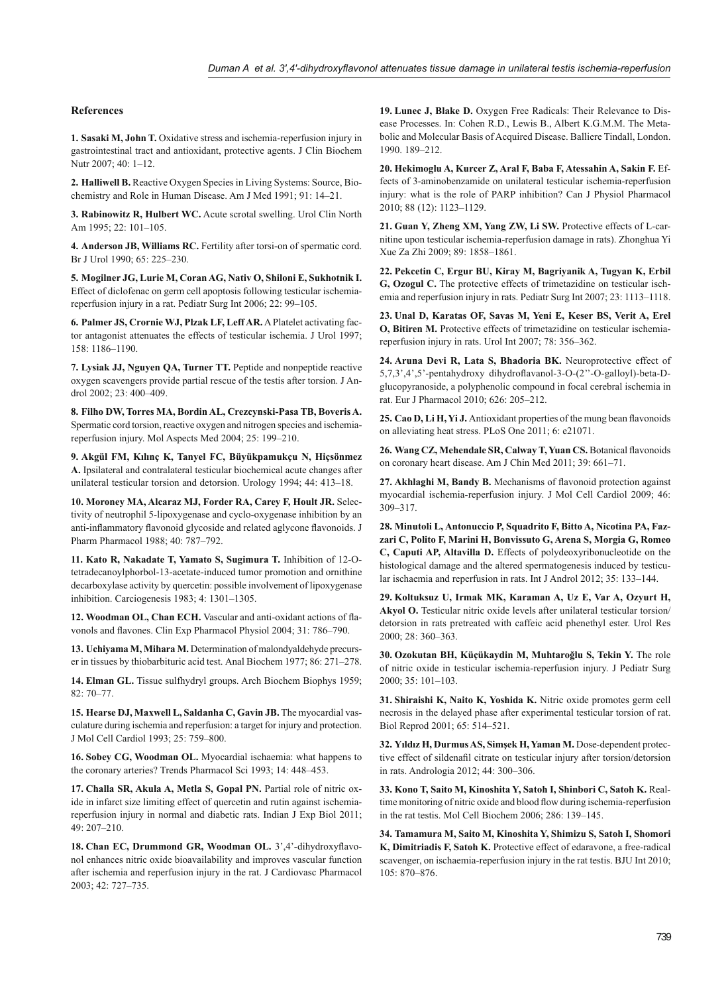## **References**

**1. Sasaki M, John T.** Oxidative stress and ischemia-reperfusion injury in gastrointestinal tract and antioxidant, protective agents. J Clin Biochem Nutr 2007; 40: 1–12.

**2. Halliwell B.** Reactive Oxygen Species in Living Systems: Source, Biochemistry and Role in Human Disease. Am J Med 1991; 91: 14–21.

**3. Rabinowitz R, Hulbert WC.** Acute scrotal swelling. Urol Clin North Am 1995; 22: 101–105.

**4. Anderson JB, Williams RC.** Fertility after torsi-on of spermatic cord. Br J Urol 1990; 65: 225–230.

**5. Mogilner JG, Lurie M, Coran AG, Nativ O, Shiloni E, Sukhotnik I.** Effect of diclofenac on germ cell apoptosis following testicular ischemiareperfusion injury in a rat. Pediatr Surg Int 2006; 22: 99–105.

**6. Palmer JS, Crornie WJ, Plzak LF, Leff AR.** A Platelet activating factor antagonist attenuates the effects of testicular ischemia. J Urol 1997; 158: 1186–1190.

**7. Lysiak JJ, Nguyen QA, Turner TT.** Peptide and nonpeptide reactive oxygen scavengers provide partial rescue of the testis after torsion. J Androl 2002; 23: 400–409.

**8. Filho DW, Torres MA, Bordin AL, Crezcynski-Pasa TB, Boveris A.** Spermatic cord torsion, reactive oxygen and nitrogen species and ischemiareperfusion injury. Mol Aspects Med 2004; 25: 199–210.

**9. Akgül FM, Kılınç K, Tanyel FC, Büyükpamukçu N, Hiçsönmez A.** Ipsilateral and contralateral testicular biochemical acute changes after unilateral testicular torsion and detorsion. Urology 1994; 44: 413–18.

**10. Moroney MA, Alcaraz MJ, Forder RA, Carey F, Hoult JR.** Selectivity of neutrophil 5-lipoxygenase and cyclo-oxygenase inhibition by an anti-inflammatory flavonoid glycoside and related aglycone flavonoids. J Pharm Pharmacol 1988; 40: 787–792.

**11. Kato R, Nakadate T, Yamato S, Sugimura T.** Inhibition of 12-Otetradecanoylphorbol-13-acetate-induced tumor promotion and ornithine decarboxylase activity by quercetin: possible involvement of lipoxygenase inhibition. Carciogenesis 1983; 4: 1301–1305.

12. Woodman OL, Chan ECH. Vascular and anti-oxidant actions of flavonols and flavones. Clin Exp Pharmacol Physiol 2004; 31: 786–790.

**13. Uchiyama M, Mihara M.** Determination of malondyaldehyde precurser in tissues by thiobarbituric acid test. Anal Biochem 1977; 86: 271–278.

**14. Elman GL.** Tissue sulfhydryl groups. Arch Biochem Biophys 1959; 82: 70–77.

**15. Hearse DJ, Maxwell L, Saldanha C, Gavin JB.** The myocardial vasculature during ischemia and reperfusion: a target for injury and protection. J Mol Cell Cardiol 1993; 25: 759–800.

**16. Sobey CG, Woodman OL.** Myocardial ischaemia: what happens to the coronary arteries? Trends Pharmacol Sci 1993; 14: 448–453.

**17. Challa SR, Akula A, Metla S, Gopal PN.** Partial role of nitric oxide in infarct size limiting effect of quercetin and rutin against ischemiareperfusion injury in normal and diabetic rats. Indian J Exp Biol 2011; 49: 207–210.

18. Chan EC, Drummond GR, Woodman OL. 3',4'-dihydroxyflavonol enhances nitric oxide bioavailability and improves vascular function after ischemia and reperfusion injury in the rat. J Cardiovasc Pharmacol 2003; 42: 727–735.

**19. Lunec J, Blake D.** Oxygen Free Radicals: Their Relevance to Disease Processes. In: Cohen R.D., Lewis B., Albert K.G.M.M. The Metabolic and Molecular Basis of Acquired Disease. Balliere Tindall, London. 1990. 189–212.

**20. Hekimoglu A, Kurcer Z, Aral F, Baba F, Atessahin A, Sakin F.** Effects of 3-aminobenzamide on unilateral testicular ischemia-reperfusion injury: what is the role of PARP inhibition? Can J Physiol Pharmacol 2010; 88 (12): 1123–1129.

**21. Guan Y, Zheng XM, Yang ZW, Li SW.** Protective effects of L-carnitine upon testicular ischemia-reperfusion damage in rats). Zhonghua Yi Xue Za Zhi 2009; 89: 1858–1861.

**22. Pekcetin C, Ergur BU, Kiray M, Bagriyanik A, Tugyan K, Erbil G, Ozogul C.** The protective effects of trimetazidine on testicular ischemia and reperfusion injury in rats. Pediatr Surg Int 2007; 23: 1113–1118.

**23. Unal D, Karatas OF, Savas M, Yeni E, Keser BS, Verit A, Erel O, Bitiren M.** Protective effects of trimetazidine on testicular ischemiareperfusion injury in rats. Urol Int 2007; 78: 356–362.

**24. Aruna Devi R, Lata S, Bhadoria BK.** Neuroprotective effect of 5,7,3',4',5'-pentahydroxy dihydroflavanol-3-O-(2"-O-galloyl)-beta-Dglucopyranoside, a polyphenolic compound in focal cerebral ischemia in rat. Eur J Pharmacol 2010; 626: 205–212.

25. Cao D, Li H, Yi J. Antioxidant properties of the mung bean flavonoids on alleviating heat stress. PLoS One 2011; 6: e21071.

26. Wang CZ, Mehendale SR, Calway T, Yuan CS. Botanical flavonoids on coronary heart disease. Am J Chin Med 2011; 39: 661–71.

27. Akhlaghi M, Bandy B. Mechanisms of flavonoid protection against myocardial ischemia-reperfusion injury. J Mol Cell Cardiol 2009; 46: 309–317.

**28. Minutoli L, Antonuccio P, Squadrito F, Bitto A, Nicotina PA, Fazzari C, Polito F, Marini H, Bonvissuto G, Arena S, Morgia G, Romeo C, Caputi AP, Altavilla D.** Effects of polydeoxyribonucleotide on the histological damage and the altered spermatogenesis induced by testicular ischaemia and reperfusion in rats. Int J Androl 2012; 35: 133–144.

**29. Koltuksuz U, Irmak MK, Karaman A, Uz E, Var A, Ozyurt H, Akyol O.** Testicular nitric oxide levels after unilateral testicular torsion/ detorsion in rats pretreated with caffeic acid phenethyl ester. Urol Res 2000; 28: 360–363.

**30. Ozokutan BH, Küçükaydin M, Muhtaroğlu S, Tekin Y.** The role of nitric oxide in testicular ischemia-reperfusion injury. J Pediatr Surg 2000; 35: 101–103.

**31. Shiraishi K, Naito K, Yoshida K.** Nitric oxide promotes germ cell necrosis in the delayed phase after experimental testicular torsion of rat. Biol Reprod 2001; 65: 514–521.

**32. Yıldız H, Durmus AS, Simşek H, Yaman M.** Dose-dependent protective effect of sildenafil citrate on testicular injury after torsion/detorsion in rats. Andrologia 2012; 44: 300–306.

**33. Kono T, Saito M, Kinoshita Y, Satoh I, Shinbori C, Satoh K.** Realtime monitoring of nitric oxide and blood flow during ischemia-reperfusion in the rat testis. Mol Cell Biochem 2006; 286: 139–145.

**34. Tamamura M, Saito M, Kinoshita Y, Shimizu S, Satoh I, Shomori K, Dimitriadis F, Satoh K.** Protective effect of edaravone, a free-radical scavenger, on ischaemia-reperfusion injury in the rat testis. BJU Int 2010; 105: 870–876.